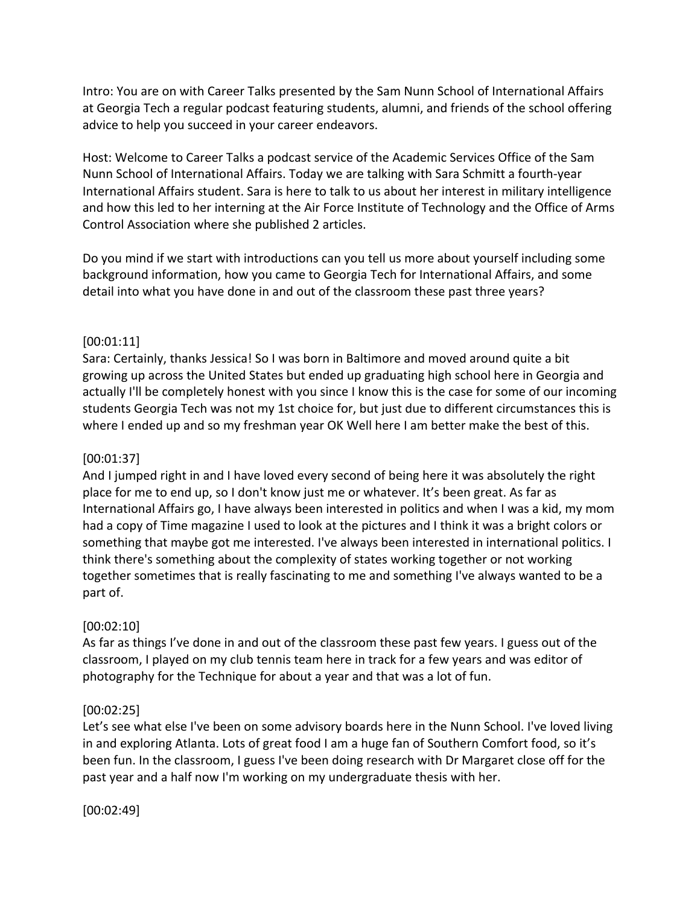Intro: You are on with Career Talks presented by the Sam Nunn School of International Affairs at Georgia Tech a regular podcast featuring students, alumni, and friends of the school offering advice to help you succeed in your career endeavors.

Host: Welcome to Career Talks a podcast service of the Academic Services Office of the Sam Nunn School of International Affairs. Today we are talking with Sara Schmitt a fourth-year International Affairs student. Sara is here to talk to us about her interest in military intelligence and how this led to her interning at the Air Force Institute of Technology and the Office of Arms Control Association where she published 2 articles.

Do you mind if we start with introductions can you tell us more about yourself including some background information, how you came to Georgia Tech for International Affairs, and some detail into what you have done in and out of the classroom these past three years?

### [00:01:11]

Sara: Certainly, thanks Jessica! So I was born in Baltimore and moved around quite a bit growing up across the United States but ended up graduating high school here in Georgia and actually I'll be completely honest with you since I know this is the case for some of our incoming students Georgia Tech was not my 1st choice for, but just due to different circumstances this is where I ended up and so my freshman year OK Well here I am better make the best of this.

#### [00:01:37]

And I jumped right in and I have loved every second of being here it was absolutely the right place for me to end up, so I don't know just me or whatever. It's been great. As far as International Affairs go, I have always been interested in politics and when I was a kid, my mom had a copy of Time magazine I used to look at the pictures and I think it was a bright colors or something that maybe got me interested. I've always been interested in international politics. I think there's something about the complexity of states working together or not working together sometimes that is really fascinating to me and something I've always wanted to be a part of.

#### [00:02:10]

As far as things I've done in and out of the classroom these past few years. I guess out of the classroom, I played on my club tennis team here in track for a few years and was editor of photography for the Technique for about a year and that was a lot of fun.

# [00:02:25]

Let's see what else I've been on some advisory boards here in the Nunn School. I've loved living in and exploring Atlanta. Lots of great food I am a huge fan of Southern Comfort food, so it's been fun. In the classroom, I guess I've been doing research with Dr Margaret close off for the past year and a half now I'm working on my undergraduate thesis with her.

[00:02:49]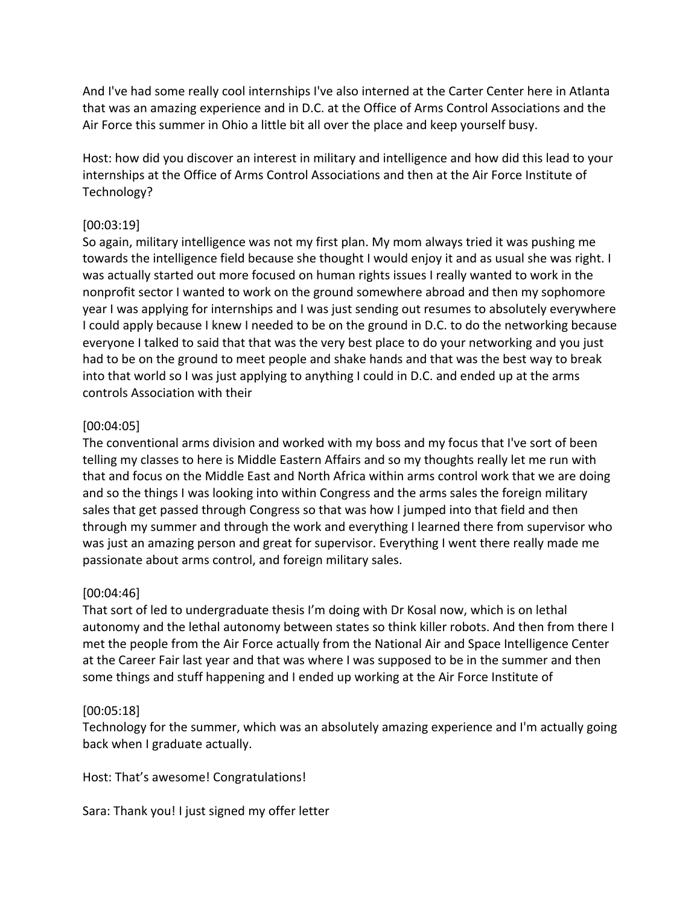And I've had some really cool internships I've also interned at the Carter Center here in Atlanta that was an amazing experience and in D.C. at the Office of Arms Control Associations and the Air Force this summer in Ohio a little bit all over the place and keep yourself busy.

Host: how did you discover an interest in military and intelligence and how did this lead to your internships at the Office of Arms Control Associations and then at the Air Force Institute of Technology?

### [00:03:19]

So again, military intelligence was not my first plan. My mom always tried it was pushing me towards the intelligence field because she thought I would enjoy it and as usual she was right. I was actually started out more focused on human rights issues I really wanted to work in the nonprofit sector I wanted to work on the ground somewhere abroad and then my sophomore year I was applying for internships and I was just sending out resumes to absolutely everywhere I could apply because I knew I needed to be on the ground in D.C. to do the networking because everyone I talked to said that that was the very best place to do your networking and you just had to be on the ground to meet people and shake hands and that was the best way to break into that world so I was just applying to anything I could in D.C. and ended up at the arms controls Association with their

# [00:04:05]

The conventional arms division and worked with my boss and my focus that I've sort of been telling my classes to here is Middle Eastern Affairs and so my thoughts really let me run with that and focus on the Middle East and North Africa within arms control work that we are doing and so the things I was looking into within Congress and the arms sales the foreign military sales that get passed through Congress so that was how I jumped into that field and then through my summer and through the work and everything I learned there from supervisor who was just an amazing person and great for supervisor. Everything I went there really made me passionate about arms control, and foreign military sales.

# [00:04:46]

That sort of led to undergraduate thesis I'm doing with Dr Kosal now, which is on lethal autonomy and the lethal autonomy between states so think killer robots. And then from there I met the people from the Air Force actually from the National Air and Space Intelligence Center at the Career Fair last year and that was where I was supposed to be in the summer and then some things and stuff happening and I ended up working at the Air Force Institute of

# [00:05:18]

Technology for the summer, which was an absolutely amazing experience and I'm actually going back when I graduate actually.

Host: That's awesome! Congratulations!

Sara: Thank you! I just signed my offer letter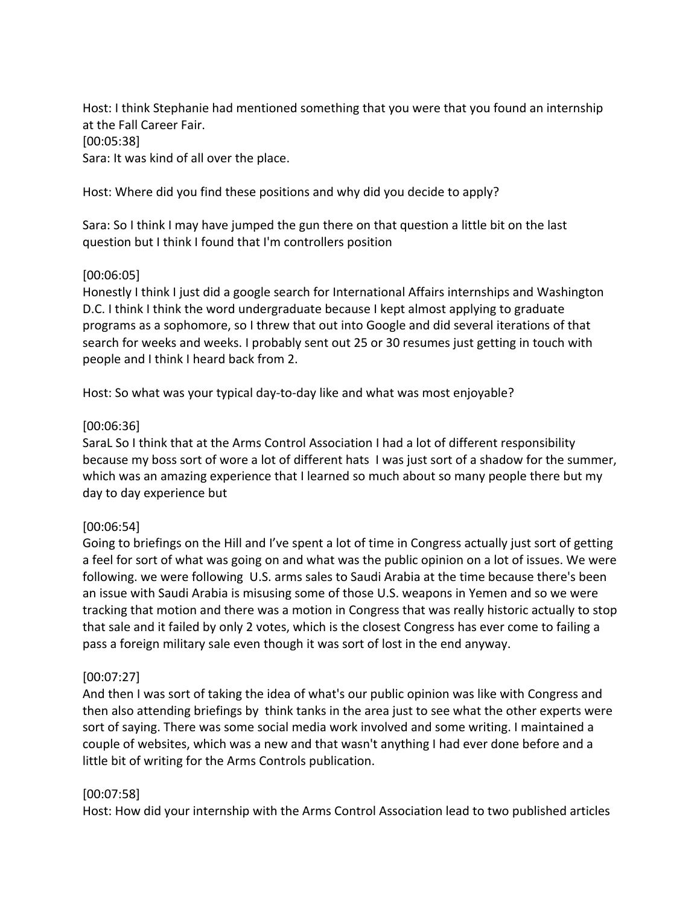Host: I think Stephanie had mentioned something that you were that you found an internship at the Fall Career Fair. [00:05:38] Sara: It was kind of all over the place.

Host: Where did you find these positions and why did you decide to apply?

Sara: So I think I may have jumped the gun there on that question a little bit on the last question but I think I found that I'm controllers position

# [00:06:05]

Honestly I think I just did a google search for International Affairs internships and Washington D.C. I think I think the word undergraduate because I kept almost applying to graduate programs as a sophomore, so I threw that out into Google and did several iterations of that search for weeks and weeks. I probably sent out 25 or 30 resumes just getting in touch with people and I think I heard back from 2.

Host: So what was your typical day-to-day like and what was most enjoyable?

### [00:06:36]

SaraL So I think that at the Arms Control Association I had a lot of different responsibility because my boss sort of wore a lot of different hats I was just sort of a shadow for the summer, which was an amazing experience that I learned so much about so many people there but my day to day experience but

# [00:06:54]

Going to briefings on the Hill and I've spent a lot of time in Congress actually just sort of getting a feel for sort of what was going on and what was the public opinion on a lot of issues. We were following. we were following U.S. arms sales to Saudi Arabia at the time because there's been an issue with Saudi Arabia is misusing some of those U.S. weapons in Yemen and so we were tracking that motion and there was a motion in Congress that was really historic actually to stop that sale and it failed by only 2 votes, which is the closest Congress has ever come to failing a pass a foreign military sale even though it was sort of lost in the end anyway.

# [00:07:27]

And then I was sort of taking the idea of what's our public opinion was like with Congress and then also attending briefings by think tanks in the area just to see what the other experts were sort of saying. There was some social media work involved and some writing. I maintained a couple of websites, which was a new and that wasn't anything I had ever done before and a little bit of writing for the Arms Controls publication.

#### [00:07:58]

Host: How did your internship with the Arms Control Association lead to two published articles